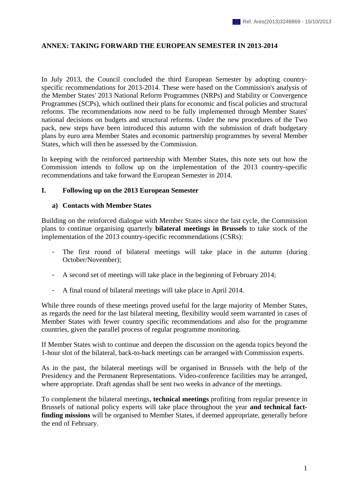### **ANNEX: TAKING FORWARD THE EUROPEAN SEMESTER IN 2013-2014**

In July 2013, the Council concluded the third European Semester by adopting countryspecific recommendations for 2013-2014. These were based on the Commission's analysis of the Member States' 2013 National Reform Programmes (NRPs) and Stability or Convergence Programmes (SCPs), which outlined their plans for economic and fiscal policies and structural reforms. The recommendations now need to be fully implemented through Member States' national decisions on budgets and structural reforms. Under the new procedures of the Two pack, new steps have been introduced this autumn with the submission of draft budgetary plans by euro area Member States and economic partnership programmes by several Member States, which will then be assessed by the Commission.

In keeping with the reinforced partnership with Member States, this note sets out how the Commission intends to follow up on the implementation of the 2013 country-specific recommendations and take forward the European Semester in 2014.

#### **I. Following up on the 2013 European Semester**

#### **a) Contacts with Member States**

Building on the reinforced dialogue with Member States since the last cycle, the Commission plans to continue organising quarterly **bilateral meetings in Brussels** to take stock of the implementation of the 2013 country-specific recommendations (CSRs):

- The first round of bilateral meetings will take place in the autumn (during October/November);
- A second set of meetings will take place in the beginning of February 2014;
- A final round of bilateral meetings will take place in April 2014.

While three rounds of these meetings proved useful for the large majority of Member States, as regards the need for the last bilateral meeting, flexibility would seem warranted in cases of Member States with fewer country specific recommendations and also for the programme countries, given the parallel process of regular programme monitoring.

If Member States wish to continue and deepen the discussion on the agenda topics beyond the 1-hour slot of the bilateral, back-to-back meetings can be arranged with Commission experts.

As in the past, the bilateral meetings will be organised in Brussels with the help of the Presidency and the Permanent Representations. Video-conference facilities may be arranged, where appropriate. Draft agendas shall be sent two weeks in advance of the meetings.

To complement the bilateral meetings, **technical meetings** profiting from regular presence in Brussels of national policy experts will take place throughout the year **and technical factfinding missions** will be organised to Member States, if deemed appropriate, generally before the end of February.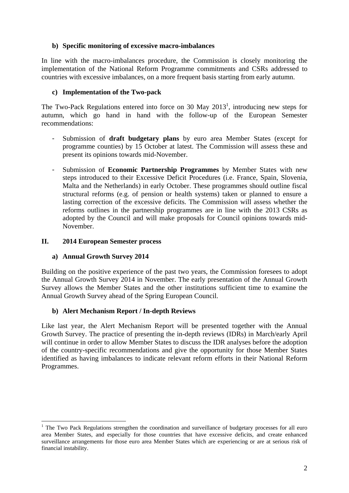# **b) Specific monitoring of excessive macro-imbalances**

In line with the macro-imbalances procedure, the Commission is closely monitoring the implementation of the National Reform Programme commitments and CSRs addressed to countries with excessive imbalances, on a more frequent basis starting from early autumn.

### **c) Implementation of the Two-pack**

The Two-Pack Regulations entered into force on 30 May  $2013<sup>1</sup>$ , introducing new steps for autumn, which go hand in hand with the follow-up of the European Semester recommendations:

- Submission of **draft budgetary plans** by euro area Member States (except for programme counties) by 15 October at latest. The Commission will assess these and present its opinions towards mid-November.
- Submission of **Economic Partnership Programmes** by Member States with new steps introduced to their Excessive Deficit Procedures (i.e. France, Spain, Slovenia, Malta and the Netherlands) in early October. These programmes should outline fiscal structural reforms (e.g. of pension or health systems) taken or planned to ensure a lasting correction of the excessive deficits. The Commission will assess whether the reforms outlines in the partnership programmes are in line with the 2013 CSRs as adopted by the Council and will make proposals for Council opinions towards mid-November.

### **II. 2014 European Semester process**

# **a) Annual Growth Survey 2014**

1

Building on the positive experience of the past two years, the Commission foresees to adopt the Annual Growth Survey 2014 in November. The early presentation of the Annual Growth Survey allows the Member States and the other institutions sufficient time to examine the Annual Growth Survey ahead of the Spring European Council.

#### **b) Alert Mechanism Report / In-depth Reviews**

Like last year, the Alert Mechanism Report will be presented together with the Annual Growth Survey. The practice of presenting the in-depth reviews (IDRs) in March/early April will continue in order to allow Member States to discuss the IDR analyses before the adoption of the country-specific recommendations and give the opportunity for those Member States identified as having imbalances to indicate relevant reform efforts in their National Reform Programmes.

<sup>&</sup>lt;sup>1</sup> The Two Pack Regulations strengthen the coordination and surveillance of budgetary processes for all euro area Member States, and especially for those countries that have excessive deficits, and create enhanced surveillance arrangements for those euro area Member States which are experiencing or are at serious risk of financial instability.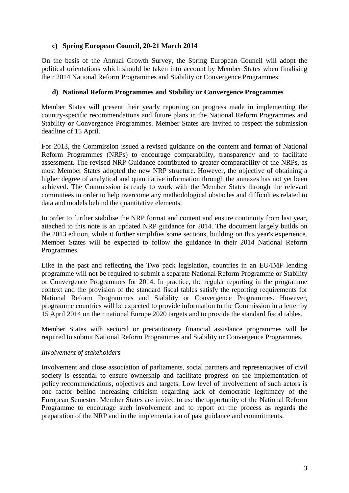# **c) Spring European Council, 20-21 March 2014**

On the basis of the Annual Growth Survey, the Spring European Council will adopt the political orientations which should be taken into account by Member States when finalising their 2014 National Reform Programmes and Stability or Convergence Programmes.

### **d) National Reform Programmes and Stability or Convergence Programmes**

Member States will present their yearly reporting on progress made in implementing the country-specific recommendations and future plans in the National Reform Programmes and Stability or Convergence Programmes. Member States are invited to respect the submission deadline of 15 April.

For 2013, the Commission issued a revised guidance on the content and format of National Reform Programmes (NRPs) to encourage comparability, transparency and to facilitate assessment. The revised NRP Guidance contributed to greater comparability of the NRPs, as most Member States adopted the new NRP structure. However, the objective of obtaining a higher degree of analytical and quantitative information through the annexes has not yet been achieved. The Commission is ready to work with the Member States through the relevant committees in order to help overcome any methodological obstacles and difficulties related to data and models behind the quantitative elements.

In order to further stabilise the NRP format and content and ensure continuity from last year, attached to this note is an updated NRP guidance for 2014. The document largely builds on the 2013 edition, while it further simplifies some sections, building on this year's experience. Member States will be expected to follow the guidance in their 2014 National Reform Programmes.

Like in the past and reflecting the Two pack legislation, countries in an EU/IMF lending programme will not be required to submit a separate National Reform Programme or Stability or Convergence Programmes for 2014. In practice, the regular reporting in the programme context and the provision of the standard fiscal tables satisfy the reporting requirements for National Reform Programmes and Stability or Convergence Programmes. However, programme countries will be expected to provide information to the Commission in a letter by 15 April 2014 on their national Europe 2020 targets and to provide the standard fiscal tables.

Member States with sectoral or precautionary financial assistance programmes will be required to submit National Reform Programmes and Stability or Convergence Programmes.

# *Involvement of stakeholders*

Involvement and close association of parliaments, social partners and representatives of civil society is essential to ensure ownership and facilitate progress on the implementation of policy recommendations, objectives and targets. Low level of involvement of such actors is one factor behind increasing criticism regarding lack of democratic legitimacy of the European Semester. Member States are invited to use the opportunity of the National Reform Programme to encourage such involvement and to report on the process as regards the preparation of the NRP and in the implementation of past guidance and commitments.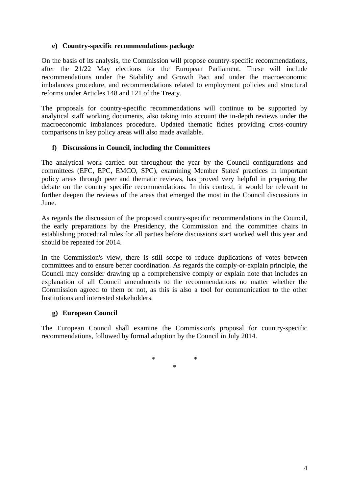# **e) Country-specific recommendations package**

On the basis of its analysis, the Commission will propose country-specific recommendations, after the 21/22 May elections for the European Parliament. These will include recommendations under the Stability and Growth Pact and under the macroeconomic imbalances procedure, and recommendations related to employment policies and structural reforms under Articles 148 and 121 of the Treaty.

The proposals for country-specific recommendations will continue to be supported by analytical staff working documents, also taking into account the in-depth reviews under the macroeconomic imbalances procedure. Updated thematic fiches providing cross-country comparisons in key policy areas will also made available.

### **f) Discussions in Council, including the Committees**

The analytical work carried out throughout the year by the Council configurations and committees (EFC, EPC, EMCO, SPC), examining Member States' practices in important policy areas through peer and thematic reviews, has proved very helpful in preparing the debate on the country specific recommendations. In this context, it would be relevant to further deepen the reviews of the areas that emerged the most in the Council discussions in June.

As regards the discussion of the proposed country-specific recommendations in the Council, the early preparations by the Presidency, the Commission and the committee chairs in establishing procedural rules for all parties before discussions start worked well this year and should be repeated for 2014.

In the Commission's view, there is still scope to reduce duplications of votes between committees and to ensure better coordination. As regards the comply-or-explain principle, the Council may consider drawing up a comprehensive comply or explain note that includes an explanation of all Council amendments to the recommendations no matter whether the Commission agreed to them or not, as this is also a tool for communication to the other Institutions and interested stakeholders.

# **g) European Council**

The European Council shall examine the Commission's proposal for country-specific recommendations, followed by formal adoption by the Council in July 2014.

> \* \* \*